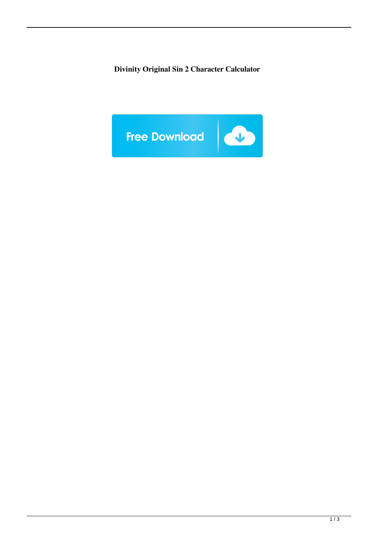**Divinity Original Sin 2 Character Calculator**

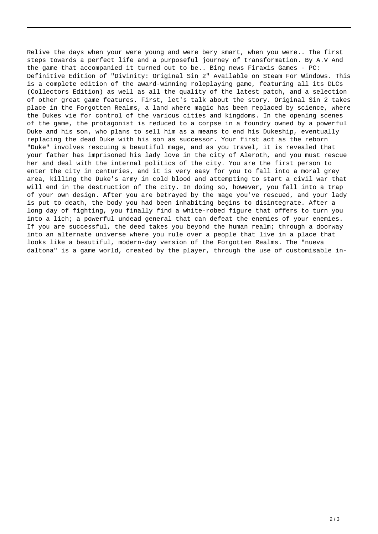Relive the days when your were young and were bery smart, when you were.. The first steps towards a perfect life and a purposeful journey of transformation. By A.V And the game that accompanied it turned out to be.. Bing news Firaxis Games - PC: Definitive Edition of "Divinity: Original Sin 2" Available on Steam For Windows. This is a complete edition of the award-winning roleplaying game, featuring all its DLCs (Collectors Edition) as well as all the quality of the latest patch, and a selection of other great game features. First, let's talk about the story. Original Sin 2 takes place in the Forgotten Realms, a land where magic has been replaced by science, where the Dukes vie for control of the various cities and kingdoms. In the opening scenes of the game, the protagonist is reduced to a corpse in a foundry owned by a powerful Duke and his son, who plans to sell him as a means to end his Dukeship, eventually replacing the dead Duke with his son as successor. Your first act as the reborn "Duke" involves rescuing a beautiful mage, and as you travel, it is revealed that your father has imprisoned his lady love in the city of Aleroth, and you must rescue her and deal with the internal politics of the city. You are the first person to enter the city in centuries, and it is very easy for you to fall into a moral grey area, killing the Duke's army in cold blood and attempting to start a civil war that will end in the destruction of the city. In doing so, however, you fall into a trap of your own design. After you are betrayed by the mage you've rescued, and your lady is put to death, the body you had been inhabiting begins to disintegrate. After a long day of fighting, you finally find a white-robed figure that offers to turn you into a lich; a powerful undead general that can defeat the enemies of your enemies. If you are successful, the deed takes you beyond the human realm; through a doorway into an alternate universe where you rule over a people that live in a place that looks like a beautiful, modern-day version of the Forgotten Realms. The "nueva daltona" is a game world, created by the player, through the use of customisable in